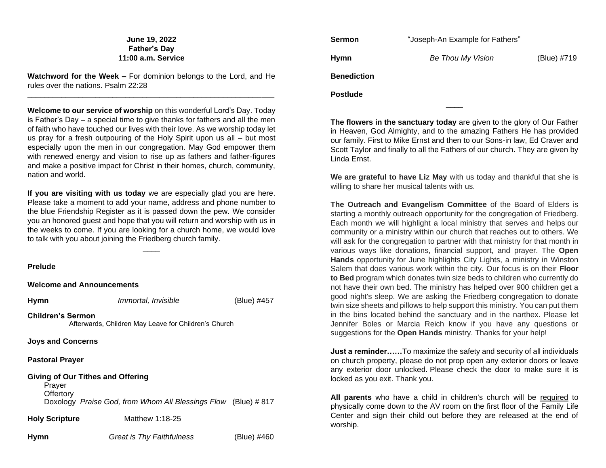# **June 19, 2022 Father's Day 11:00 a.m. Service**

**Watchword for the Week –** For dominion belongs to the Lord, and He rules over the nations. Psalm 22:28 \_\_\_\_\_\_\_\_\_\_\_\_\_\_\_\_\_\_\_\_\_\_\_\_\_\_\_\_\_\_\_\_\_\_\_\_\_\_\_\_\_\_\_\_\_\_\_\_\_\_\_\_\_\_\_\_\_\_

**Welcome to our service of worship** on this wonderful Lord's Day. Today is Father's Day – a special time to give thanks for fathers and all the men of faith who have touched our lives with their love. As we worship today let us pray for a fresh outpouring of the Holy Spirit upon us all – but most especially upon the men in our congregation. May God empower them with renewed energy and vision to rise up as fathers and father-figures and make a positive impact for Christ in their homes, church, community, nation and world.

**If you are visiting with us today** we are especially glad you are here. Please take a moment to add your name, address and phone number to the blue Friendship Register as it is passed down the pew. We consider you an honored guest and hope that you will return and worship with us in the weeks to come. If you are looking for a church home, we would love to talk with you about joining the Friedberg church family.

 $\overline{\phantom{a}}$ 

## **Prelude**

#### **Welcome and Announcements**

**Hymn** *Immortal, Invisible* (Blue) #457

**Children's Sermon** Afterwards, Children May Leave for Children's Church

#### **Joys and Concerns**

### **Pastoral Prayer**

# **Giving of Our Tithes and Offering**

Prayer **Offertory** 

Doxology *Praise God, from Whom All Blessings Flow* (Blue) # 817

**Holy Scripture Matthew 1:18-25** 

**Hymn** *Great is Thy Faithfulness* (Blue) #460

**Sermon** "Joseph-An Example for Fathers" **Hymn** *Be Thou My Vision* (Blue) #719 **Benediction Postlude**

 $\overline{\phantom{a}}$ 

**The flowers in the sanctuary today** are given to the glory of Our Father in Heaven, God Almighty, and to the amazing Fathers He has provided our family. First to Mike Ernst and then to our Sons-in law, Ed Craver and Scott Taylor and finally to all the Fathers of our church. They are given by Linda Ernst.

**We are grateful to have Liz May** with us today and thankful that she is willing to share her musical talents with us.

**The Outreach and Evangelism Committee** of the Board of Elders is starting a monthly outreach opportunity for the congregation of Friedberg. Each month we will highlight a local ministry that serves and helps our community or a ministry within our church that reaches out to others. We will ask for the congregation to partner with that ministry for that month in various ways like donations, financial support, and prayer. The **Open Hands** opportunity for June highlights City Lights, a ministry in Winston Salem that does various work within the city. Our focus is on their **Floor to Bed** program which donates twin size beds to children who currently do not have their own bed. The ministry has helped over 900 children get a good night's sleep. We are asking the Friedberg congregation to donate twin size sheets and pillows to help support this ministry. You can put them in the bins located behind the sanctuary and in the narthex. Please let Jennifer Boles or Marcia Reich know if you have any questions or suggestions for the **Open Hands** ministry. Thanks for your help!

**Just a reminder……**To maximize the safety and security of all individuals on church property, please do not prop open any exterior doors or leave any exterior door unlocked. Please check the door to make sure it is locked as you exit. Thank you.

**All parents** who have a child in children's church will be required to physically come down to the AV room on the first floor of the Family Life Center and sign their child out before they are released at the end of worship.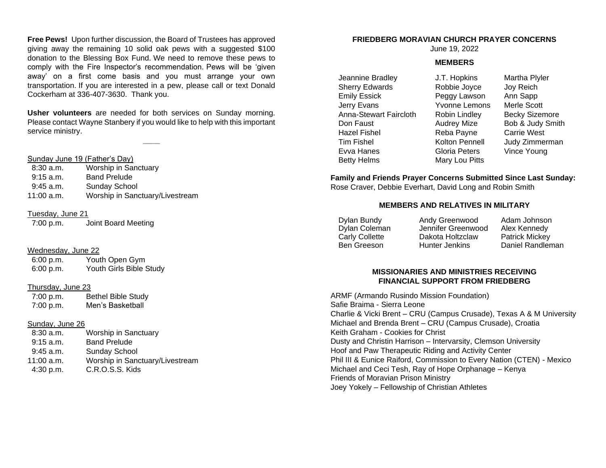**Free Pews!** Upon further discussion, the Board of Trustees has approved giving away the remaining 10 solid oak pews with a suggested \$100 donation to the Blessing Box Fund. We need to remove these pews to comply with the Fire Inspector's recommendation. Pews will be 'given away' on a first come basis and you must arrange your own transportation. If you are interested in a pew, please call or text Donald Cockerham at 336-407-3630. Thank you.

**Usher volunteers** are needed for both services on Sunday morning. Please contact Wayne Stanbery if you would like to help with this important service ministry.

**\_\_\_\_**

#### Sunday June 19 (Father's Day)

| 8:30a.m.    | <b>Worship in Sanctuary</b>     |
|-------------|---------------------------------|
| $9:15$ a.m. | <b>Band Prelude</b>             |
| $9:45$ a.m. | Sunday School                   |
| 11:00 a.m.  | Worship in Sanctuary/Livestream |

Tuesday, June 21

| 7:00 p.m. | Joint Board Meeting |
|-----------|---------------------|
|-----------|---------------------|

## Wednesday, June 22

| 6:00 p.m. | Youth Open Gym          |
|-----------|-------------------------|
| 6:00 p.m. | Youth Girls Bible Study |

### Thursday, June 23

| 7:00 p.m. | <b>Bethel Bible Study</b> |
|-----------|---------------------------|
| 7:00 p.m. | Men's Basketball          |

# Sunday, June 26

| $8:30$ a.m. | <b>Worship in Sanctuary</b>     |
|-------------|---------------------------------|
| $9:15$ a.m. | <b>Band Prelude</b>             |
| $9:45$ a.m. | Sunday School                   |
| 11:00 a.m.  | Worship in Sanctuary/Livestream |
| 4:30 p.m.   | C.R.O.S.S. Kids                 |
|             |                                 |

# **FRIEDBERG MORAVIAN CHURCH PRAYER CONCERNS**

June 19, 2022

#### **MEMBERS**

Jeannine Bradley Sherry Edwards Emily Essick Jerry Evans Anna-Stewart Faircloth Don Faust Hazel Fishel Tim Fishel Evva Hanes Betty Helms

J.T. Hopkins Robbie Joyce Peggy Lawson Yvonne Lemons Robin Lindley Audrey Mize Reba Payne Kolton Pennell Gloria Peters Mary Lou Pitts

Martha Plyler Joy Reich Ann Sapp Merle Scott Becky Sizemore Bob & Judy Smith Carrie West Judy Zimmerman Vince Young

# **Family and Friends Prayer Concerns Submitted Since Last Sunday:**

Rose Craver, Debbie Everhart, David Long and Robin Smith

## **MEMBERS AND RELATIVES IN MILITARY**

Dylan Bundy Dylan Coleman Carly Collette Ben Greeson

Andy Greenwood Jennifer Greenwood Dakota Holtzclaw Hunter Jenkins

Adam Johnson Alex Kennedy Patrick Mickey Daniel Randleman

### **MISSIONARIES AND MINISTRIES RECEIVING FINANCIAL SUPPORT FROM FRIEDBERG**

ARMF (Armando Rusindo Mission Foundation) Safie Braima - Sierra Leone Charlie & Vicki Brent – CRU (Campus Crusade), Texas A & M University Michael and Brenda Brent – CRU (Campus Crusade), Croatia Keith Graham - Cookies for Christ Dusty and Christin Harrison – Intervarsity, Clemson University Hoof and Paw Therapeutic Riding and Activity Center Phil III & Eunice Raiford, Commission to Every Nation (CTEN) - Mexico Michael and Ceci Tesh, Ray of Hope Orphanage – Kenya Friends of Moravian Prison Ministry Joey Yokely – Fellowship of Christian Athletes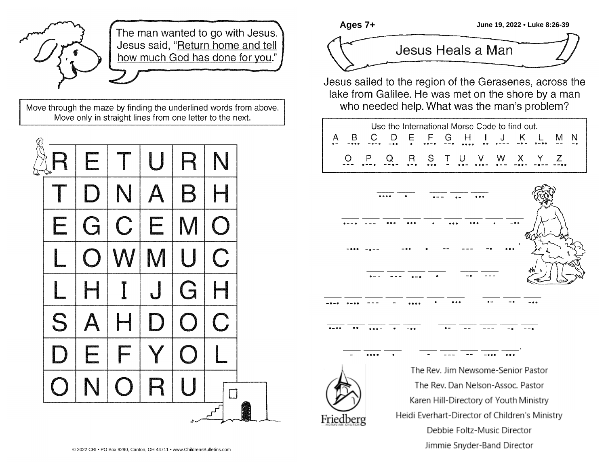

The man wanted to go with Jesus. Jesus said, "Return home and tell how much God has done for you."

Move through the maze by finding the underlined words from above. Move only in straight lines from one letter to the next.





Jesus sailed to the region of the Gerasenes, across the lake from Galilee. He was met on the shore by a man who needed help. What was the man's problem?





The Rev. Dan Nelson-Assoc. Pastor Karen Hill-Directory of Youth Ministry Heidi Everhart-Director of Children's Ministry Debbie Foltz-Music Director Jimmie Snyder-Band Director

Friedberg